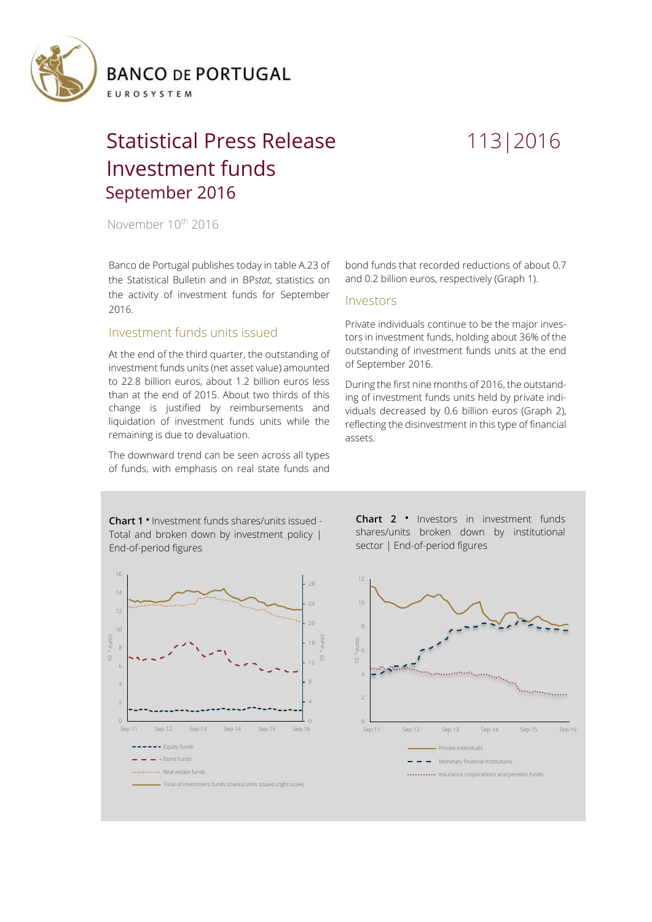

# Statistical Press Release 113|2016 Investment funds September 2016

November 10<sup>th</sup> 2016

Banco de Portugal publishes today in table A.23 of the Statistical Bulletin and in BP*stat*, statistics on the activity of investment funds for September 2016.

# Investment funds units issued

At the end of the third quarter, the outstanding of investment funds units (net asset value) amounted to 22.8 billion euros, about 1.2 billion euros less than at the end of 2015. About two thirds of this change is justified by reimbursements and liquidation of investment funds units while the remaining is due to devaluation.

The downward trend can be seen across all types of funds, with emphasis on real state funds and

bond funds that recorded reductions of about 0.7 and 0.2 billion euros, respectively (Graph 1).

## Investors

Private individuals continue to be the major investors in investment funds, holding about 36% of the outstanding of investment funds units at the end of September 2016.

During the first nine months of 2016, the outstanding of investment funds units held by private individuals decreased by 0.6 billion euros (Graph 2), reflecting the disinvestment in this type of financial assets.

**Chart 1 •** Investment funds shares/units issued - Total and broken down by investment policy | End-of-period figures



**Chart 2 •** Investors in investment funds shares/units broken down by institutional sector | End-of-period figures